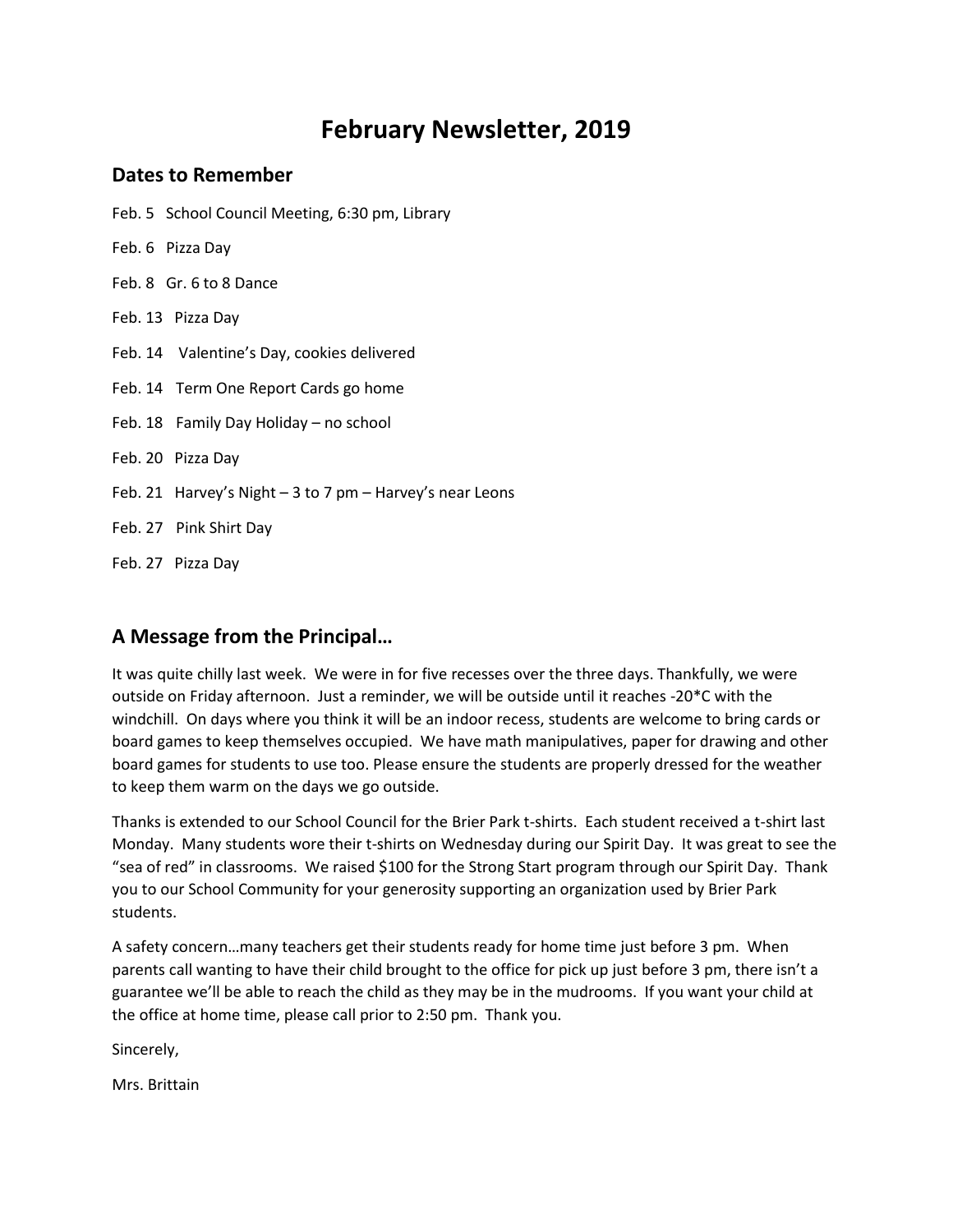# **February Newsletter, 2019**

#### **Dates to Remember**

Feb. 5 School Council Meeting, 6:30 pm, Library

- Feb. 6 Pizza Day
- Feb. 8 Gr. 6 to 8 Dance
- Feb. 13 Pizza Day
- Feb. 14 Valentine's Day, cookies delivered
- Feb. 14 Term One Report Cards go home
- Feb. 18 Family Day Holiday no school
- Feb. 20 Pizza Day
- Feb. 21 Harvey's Night 3 to 7 pm Harvey's near Leons
- Feb. 27 Pink Shirt Day
- Feb. 27 Pizza Day

#### **A Message from the Principal…**

It was quite chilly last week. We were in for five recesses over the three days. Thankfully, we were outside on Friday afternoon. Just a reminder, we will be outside until it reaches -20\*C with the windchill. On days where you think it will be an indoor recess, students are welcome to bring cards or board games to keep themselves occupied. We have math manipulatives, paper for drawing and other board games for students to use too. Please ensure the students are properly dressed for the weather to keep them warm on the days we go outside.

Thanks is extended to our School Council for the Brier Park t-shirts. Each student received a t-shirt last Monday. Many students wore their t-shirts on Wednesday during our Spirit Day. It was great to see the "sea of red" in classrooms. We raised \$100 for the Strong Start program through our Spirit Day. Thank you to our School Community for your generosity supporting an organization used by Brier Park students.

A safety concern…many teachers get their students ready for home time just before 3 pm. When parents call wanting to have their child brought to the office for pick up just before 3 pm, there isn't a guarantee we'll be able to reach the child as they may be in the mudrooms. If you want your child at the office at home time, please call prior to 2:50 pm. Thank you.

Sincerely,

Mrs. Brittain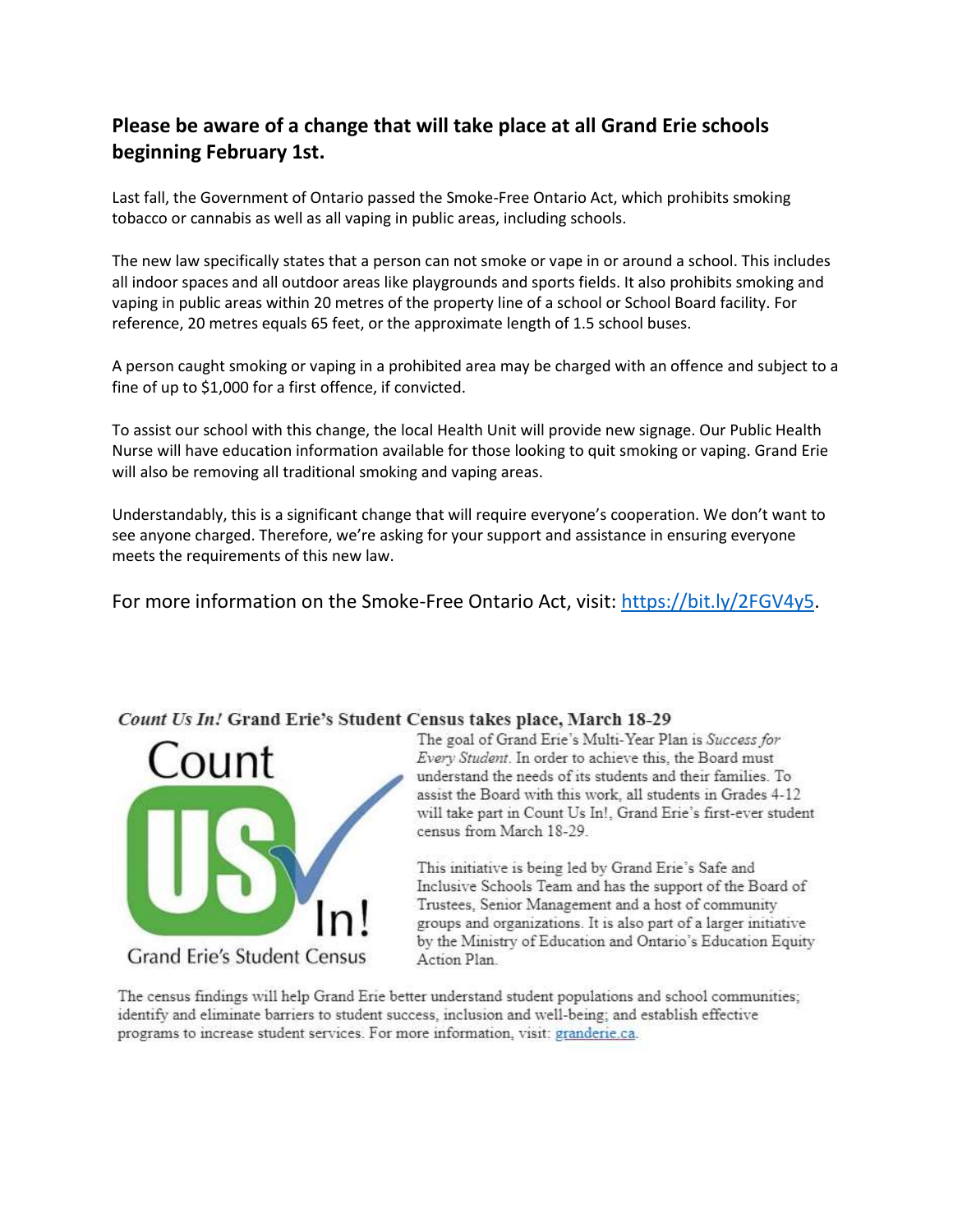## **Please be aware of a change that will take place at all Grand Erie schools beginning February 1st.**

Last fall, the Government of Ontario passed the Smoke-Free Ontario Act, which prohibits smoking tobacco or cannabis as well as all vaping in public areas, including schools.

The new law specifically states that a person can not smoke or vape in or around a school. This includes all indoor spaces and all outdoor areas like playgrounds and sports fields. It also prohibits smoking and vaping in public areas within 20 metres of the property line of a school or School Board facility. For reference, 20 metres equals 65 feet, or the approximate length of 1.5 school buses.

A person caught smoking or vaping in a prohibited area may be charged with an offence and subject to a fine of up to \$1,000 for a first offence, if convicted.

To assist our school with this change, the local Health Unit will provide new signage. Our Public Health Nurse will have education information available for those looking to quit smoking or vaping. Grand Erie will also be removing all traditional smoking and vaping areas.

Understandably, this is a significant change that will require everyone's cooperation. We don't want to see anyone charged. Therefore, we're asking for your support and assistance in ensuring everyone meets the requirements of this new law.

For more information on the Smoke-Free Ontario Act, visit: [https://bit.ly/2FGV4y5.](https://bit.ly/2FGV4y5)



Count Us In! Grand Erie's Student Census takes place, March 18-29

The goal of Grand Erie's Multi-Year Plan is Success for Every Student. In order to achieve this, the Board must understand the needs of its students and their families. To assist the Board with this work, all students in Grades 4-12 will take part in Count Us In!, Grand Erie's first-ever student census from March 18-29.

This initiative is being led by Grand Erie's Safe and Inclusive Schools Team and has the support of the Board of Trustees, Senior Management and a host of community groups and organizations. It is also part of a larger initiative by the Ministry of Education and Ontario's Education Equity Action Plan.

The census findings will help Grand Erie better understand student populations and school communities; identify and eliminate barriers to student success, inclusion and well-being; and establish effective programs to increase student services. For more information, visit: granderie.ca.